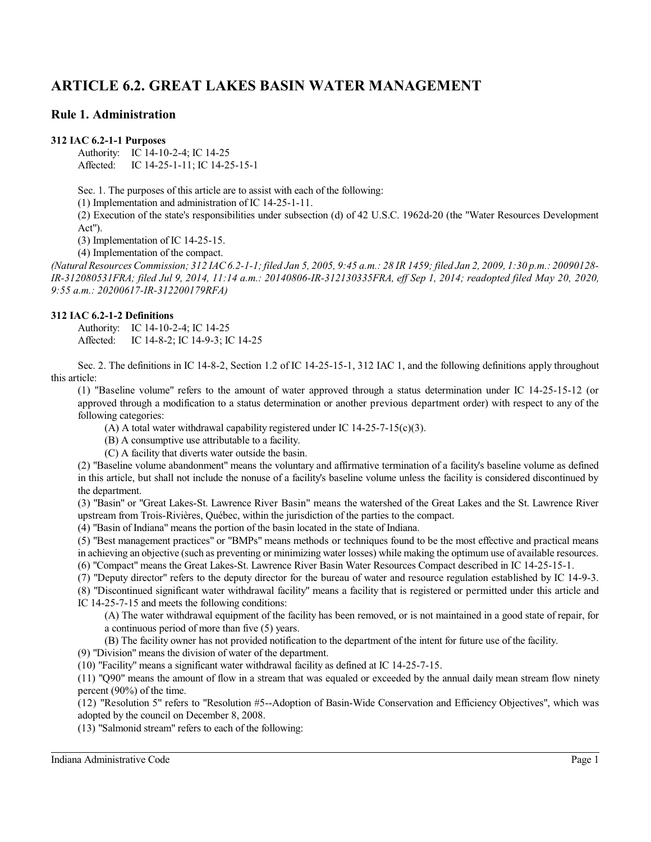# **ARTICLE 6.2. GREAT LAKES BASIN WATER MANAGEMENT**

# **Rule 1. Administration**

#### **312 IAC 6.2-1-1 Purposes**

Authority: IC 14-10-2-4; IC 14-25 Affected: IC 14-25-1-11; IC 14-25-15-1

Sec. 1. The purposes of this article are to assist with each of the following:

(1) Implementation and administration of IC 14-25-1-11.

(2) Execution of the state's responsibilities under subsection (d) of 42 U.S.C. 1962d-20 (the "Water Resources Development Act").

(3) Implementation of IC 14-25-15.

(4) Implementation of the compact.

*(Natural Resources Commission; 312 IAC6.2-1-1; filed Jan 5, 2005, 9:45 a.m.: 28 IR 1459; filed Jan 2, 2009, 1:30 p.m.: 20090128- IR-312080531FRA; filed Jul 9, 2014, 11:14 a.m.: 20140806-IR-312130335FRA, eff Sep 1, 2014; readopted filed May 20, 2020, 9:55 a.m.: 20200617-IR-312200179RFA)*

## **312 IAC 6.2-1-2 Definitions**

Authority: IC 14-10-2-4; IC 14-25 Affected: IC 14-8-2; IC 14-9-3; IC 14-25

Sec. 2. The definitions in IC 14-8-2, Section 1.2 of IC 14-25-15-1, 312 IAC 1, and the following definitions apply throughout this article:

(1) "Baseline volume" refers to the amount of water approved through a status determination under IC 14-25-15-12 (or approved through a modification to a status determination or another previous department order) with respect to any of the following categories:

(A) A total water withdrawal capability registered under IC  $14-25-7-15(c)(3)$ .

(B) A consumptive use attributable to a facility.

(C) A facility that diverts water outside the basin.

(2) "Baseline volume abandonment" means the voluntary and affirmative termination of a facility's baseline volume as defined in this article, but shall not include the nonuse of a facility's baseline volume unless the facility is considered discontinued by the department.

(3) "Basin" or "Great Lakes-St. Lawrence River Basin" means the watershed of the Great Lakes and the St. Lawrence River upstream from Trois-Rivières, Québec, within the jurisdiction of the parties to the compact.

(4) "Basin of Indiana" means the portion of the basin located in the state of Indiana.

(5) "Best management practices" or "BMPs" means methods or techniques found to be the most effective and practical means in achieving an objective (such as preventing or minimizing water losses) while making the optimum use of available resources.

(6) "Compact" means the Great Lakes-St. Lawrence River Basin Water Resources Compact described in IC 14-25-15-1.

(7) "Deputy director" refers to the deputy director for the bureau of water and resource regulation established by IC 14-9-3.

(8) "Discontinued significant water withdrawal facility" means a facility that is registered or permitted under this article and IC 14-25-7-15 and meets the following conditions:

(A) The water withdrawal equipment of the facility has been removed, or is not maintained in a good state of repair, for a continuous period of more than five (5) years.

(B) The facility owner has not provided notification to the department of the intent for future use of the facility.

(9) "Division" means the division of water of the department.

(10) "Facility" means a significant water withdrawal facility as defined at IC 14-25-7-15.

(11) "Q90" means the amount of flow in a stream that was equaled or exceeded by the annual daily mean stream flow ninety percent (90%) of the time.

(12) "Resolution 5" refers to "Resolution #5--Adoption of Basin-Wide Conservation and Efficiency Objectives", which was adopted by the council on December 8, 2008.

(13) "Salmonid stream" refers to each of the following: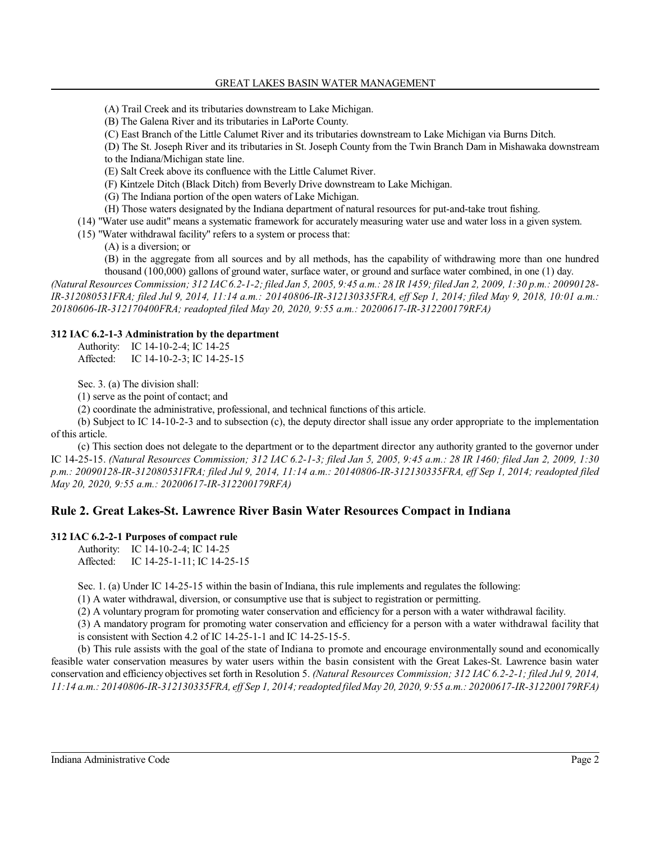#### GREAT LAKES BASIN WATER MANAGEMENT

(A) Trail Creek and its tributaries downstream to Lake Michigan.

(B) The Galena River and its tributaries in LaPorte County.

(C) East Branch of the Little Calumet River and its tributaries downstream to Lake Michigan via Burns Ditch.

(D) The St. Joseph River and its tributaries in St. Joseph County from the Twin Branch Dam in Mishawaka downstream to the Indiana/Michigan state line.

(E) Salt Creek above its confluence with the Little Calumet River.

(F) Kintzele Ditch (Black Ditch) from Beverly Drive downstream to Lake Michigan.

(G) The Indiana portion of the open waters of Lake Michigan.

(H) Those waters designated by the Indiana department of natural resources for put-and-take trout fishing.

(14) "Water use audit" means a systematic framework for accurately measuring water use and water loss in a given system.

(15) "Water withdrawal facility" refers to a system or process that:

(A) is a diversion; or

(B) in the aggregate from all sources and by all methods, has the capability of withdrawing more than one hundred thousand (100,000) gallons of ground water, surface water, or ground and surface water combined, in one (1) day.

*(Natural Resources Commission; 312 IAC6.2-1-2; filed Jan 5, 2005, 9:45 a.m.: 28 IR 1459; filed Jan 2, 2009, 1:30 p.m.: 20090128- IR-312080531FRA; filed Jul 9, 2014, 11:14 a.m.: 20140806-IR-312130335FRA, eff Sep 1, 2014; filed May 9, 2018, 10:01 a.m.: 20180606-IR-312170400FRA; readopted filed May 20, 2020, 9:55 a.m.: 20200617-IR-312200179RFA)*

#### **312 IAC 6.2-1-3 Administration by the department**

Authority: IC 14-10-2-4; IC 14-25 Affected: IC 14-10-2-3; IC 14-25-15

Sec. 3. (a) The division shall:

(1) serve as the point of contact; and

(2) coordinate the administrative, professional, and technical functions of this article.

(b) Subject to IC 14-10-2-3 and to subsection (c), the deputy director shall issue any order appropriate to the implementation of this article.

(c) This section does not delegate to the department or to the department director any authority granted to the governor under IC 14-25-15. *(Natural Resources Commission; 312 IAC 6.2-1-3; filed Jan 5, 2005, 9:45 a.m.: 28 IR 1460; filed Jan 2, 2009, 1:30 p.m.: 20090128-IR-312080531FRA; filed Jul 9, 2014, 11:14 a.m.: 20140806-IR-312130335FRA, eff Sep 1, 2014; readopted filed May 20, 2020, 9:55 a.m.: 20200617-IR-312200179RFA)*

# **Rule 2. Great Lakes-St. Lawrence River Basin Water Resources Compact in Indiana**

# **312 IAC 6.2-2-1 Purposes of compact rule**

Authority: IC 14-10-2-4; IC 14-25 Affected: IC 14-25-1-11; IC 14-25-15

Sec. 1. (a) Under IC 14-25-15 within the basin of Indiana, this rule implements and regulates the following:

(1) A water withdrawal, diversion, or consumptive use that is subject to registration or permitting.

(2) A voluntary program for promoting water conservation and efficiency for a person with a water withdrawal facility.

(3) A mandatory program for promoting water conservation and efficiency for a person with a water withdrawal facility that is consistent with Section 4.2 of IC 14-25-1-1 and IC 14-25-15-5.

(b) This rule assists with the goal of the state of Indiana to promote and encourage environmentally sound and economically feasible water conservation measures by water users within the basin consistent with the Great Lakes-St. Lawrence basin water conservation and efficiency objectives set forth in Resolution 5. *(Natural Resources Commission; 312 IAC 6.2-2-1; filed Jul 9, 2014, 11:14 a.m.: 20140806-IR-312130335FRA, eff Sep 1, 2014; readopted filed May 20, 2020, 9:55 a.m.: 20200617-IR-312200179RFA)*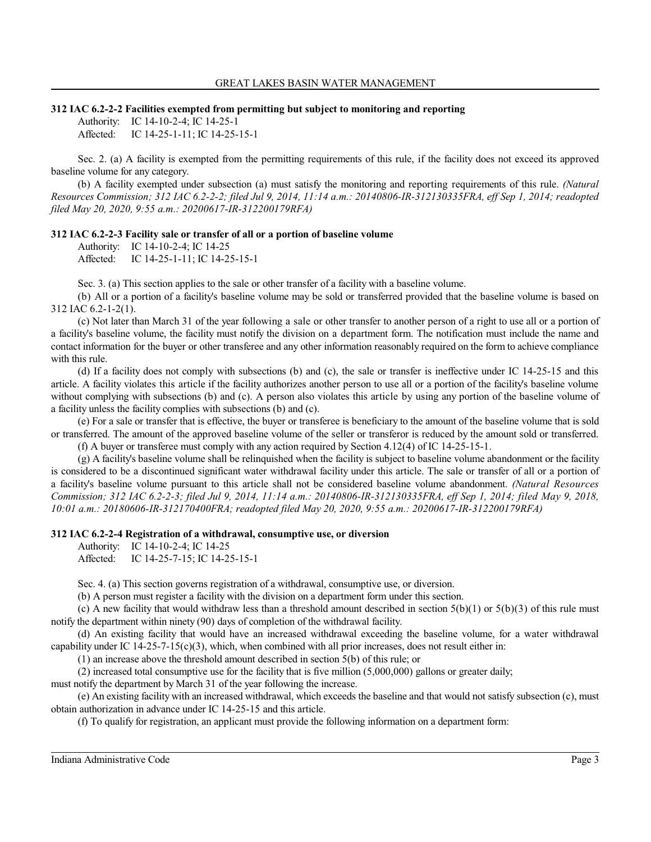#### **312 IAC 6.2-2-2 Facilities exempted from permitting but subject to monitoring and reporting**

Authority: IC 14-10-2-4; IC 14-25-1 Affected: IC 14-25-1-11; IC 14-25-15-1

Sec. 2. (a) A facility is exempted from the permitting requirements of this rule, if the facility does not exceed its approved baseline volume for any category.

(b) A facility exempted under subsection (a) must satisfy the monitoring and reporting requirements of this rule. *(Natural Resources Commission; 312 IAC 6.2-2-2; filed Jul 9, 2014, 11:14 a.m.: 20140806-IR-312130335FRA, eff Sep 1, 2014; readopted filed May 20, 2020, 9:55 a.m.: 20200617-IR-312200179RFA)*

#### **312 IAC 6.2-2-3 Facility sale or transfer of all or a portion of baseline volume**

Authority: IC 14-10-2-4; IC 14-25 Affected: IC 14-25-1-11; IC 14-25-15-1

Sec. 3. (a) This section applies to the sale or other transfer of a facility with a baseline volume.

(b) All or a portion of a facility's baseline volume may be sold or transferred provided that the baseline volume is based on 312 IAC 6.2-1-2(1).

(c) Not later than March 31 of the year following a sale or other transfer to another person of a right to use all or a portion of a facility's baseline volume, the facility must notify the division on a department form. The notification must include the name and contact information for the buyer or other transferee and any other information reasonably required on the form to achieve compliance with this rule.

(d) If a facility does not comply with subsections (b) and (c), the sale or transfer is ineffective under IC 14-25-15 and this article. A facility violates this article if the facility authorizes another person to use all or a portion of the facility's baseline volume without complying with subsections (b) and (c). A person also violates this article by using any portion of the baseline volume of a facility unless the facility complies with subsections (b) and (c).

(e) For a sale or transfer that is effective, the buyer or transferee is beneficiary to the amount of the baseline volume that is sold or transferred. The amount of the approved baseline volume of the seller or transferor is reduced by the amount sold or transferred.

(f) A buyer or transferee must comply with any action required by Section 4.12(4) of IC 14-25-15-1.

(g) A facility's baseline volume shall be relinquished when the facility is subject to baseline volume abandonment or the facility is considered to be a discontinued significant water withdrawal facility under this article. The sale or transfer of all or a portion of a facility's baseline volume pursuant to this article shall not be considered baseline volume abandonment. *(Natural Resources Commission; 312 IAC 6.2-2-3; filed Jul 9, 2014, 11:14 a.m.: 20140806-IR-312130335FRA, eff Sep 1, 2014; filed May 9, 2018, 10:01 a.m.: 20180606-IR-312170400FRA; readopted filed May 20, 2020, 9:55 a.m.: 20200617-IR-312200179RFA)*

#### **312 IAC 6.2-2-4 Registration of a withdrawal, consumptive use, or diversion**

Authority: IC 14-10-2-4; IC 14-25 Affected: IC 14-25-7-15; IC 14-25-15-1

Sec. 4. (a) This section governs registration of a withdrawal, consumptive use, or diversion.

(b) A person must register a facility with the division on a department form under this section.

(c) A new facility that would withdraw less than a threshold amount described in section  $5(b)(1)$  or  $5(b)(3)$  of this rule must notify the department within ninety (90) days of completion of the withdrawal facility.

(d) An existing facility that would have an increased withdrawal exceeding the baseline volume, for a water withdrawal capability under IC 14-25-7-15(c)(3), which, when combined with all prior increases, does not result either in:

(1) an increase above the threshold amount described in section 5(b) of this rule; or

(2) increased total consumptive use for the facility that is five million (5,000,000) gallons or greater daily;

must notify the department by March 31 of the year following the increase.

(e) An existing facility with an increased withdrawal, which exceeds the baseline and that would not satisfy subsection (c), must obtain authorization in advance under IC 14-25-15 and this article.

(f) To qualify for registration, an applicant must provide the following information on a department form: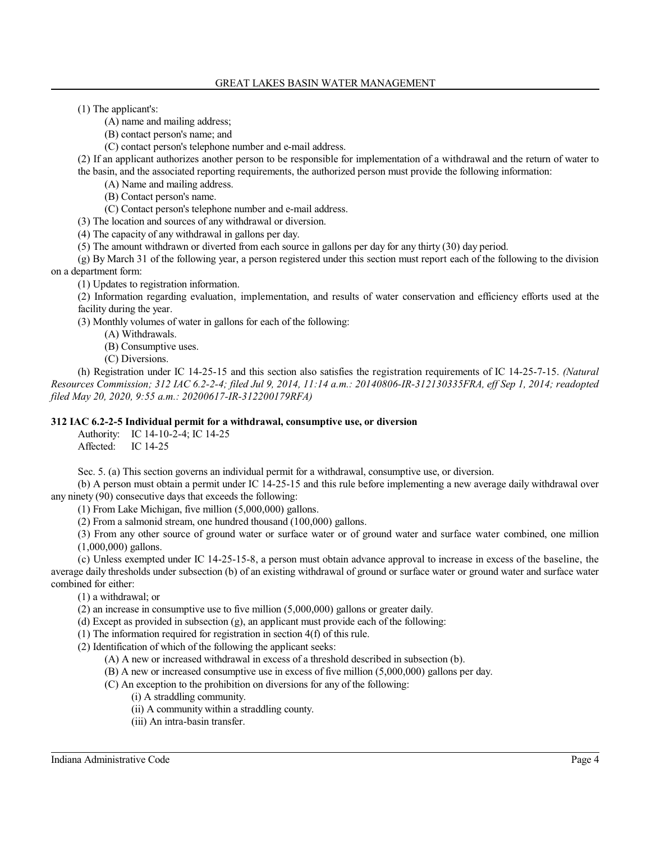(1) The applicant's:

(A) name and mailing address;

(B) contact person's name; and

(C) contact person's telephone number and e-mail address.

(2) If an applicant authorizes another person to be responsible for implementation of a withdrawal and the return of water to the basin, and the associated reporting requirements, the authorized person must provide the following information:

(A) Name and mailing address.

(B) Contact person's name.

(C) Contact person's telephone number and e-mail address.

(3) The location and sources of any withdrawal or diversion.

(4) The capacity of any withdrawal in gallons per day.

(5) The amount withdrawn or diverted from each source in gallons per day for any thirty (30) day period.

(g) By March 31 of the following year, a person registered under this section must report each of the following to the division on a department form:

(1) Updates to registration information.

(2) Information regarding evaluation, implementation, and results of water conservation and efficiency efforts used at the facility during the year.

(3) Monthly volumes of water in gallons for each of the following:

(A) Withdrawals.

(B) Consumptive uses.

(C) Diversions.

(h) Registration under IC 14-25-15 and this section also satisfies the registration requirements of IC 14-25-7-15. *(Natural Resources Commission; 312 IAC 6.2-2-4; filed Jul 9, 2014, 11:14 a.m.: 20140806-IR-312130335FRA, eff Sep 1, 2014; readopted filed May 20, 2020, 9:55 a.m.: 20200617-IR-312200179RFA)*

## **312 IAC 6.2-2-5 Individual permit for a withdrawal, consumptive use, or diversion**

Authority: IC 14-10-2-4; IC 14-25 Affected: IC 14-25

Sec. 5. (a) This section governs an individual permit for a withdrawal, consumptive use, or diversion.

(b) A person must obtain a permit under IC 14-25-15 and this rule before implementing a new average daily withdrawal over any ninety (90) consecutive days that exceeds the following:

(1) From Lake Michigan, five million (5,000,000) gallons.

(2) From a salmonid stream, one hundred thousand (100,000) gallons.

(3) From any other source of ground water or surface water or of ground water and surface water combined, one million (1,000,000) gallons.

(c) Unless exempted under IC 14-25-15-8, a person must obtain advance approval to increase in excess of the baseline, the average daily thresholds under subsection (b) of an existing withdrawal of ground or surface water or ground water and surface water combined for either:

(1) a withdrawal; or

(2) an increase in consumptive use to five million (5,000,000) gallons or greater daily.

(d) Except as provided in subsection (g), an applicant must provide each of the following:

(1) The information required for registration in section 4(f) of this rule.

(2) Identification of which of the following the applicant seeks:

(A) A new or increased withdrawal in excess of a threshold described in subsection (b).

(B) A new or increased consumptive use in excess of five million (5,000,000) gallons per day.

(C) An exception to the prohibition on diversions for any of the following:

(i) A straddling community.

(ii) A community within a straddling county.

(iii) An intra-basin transfer.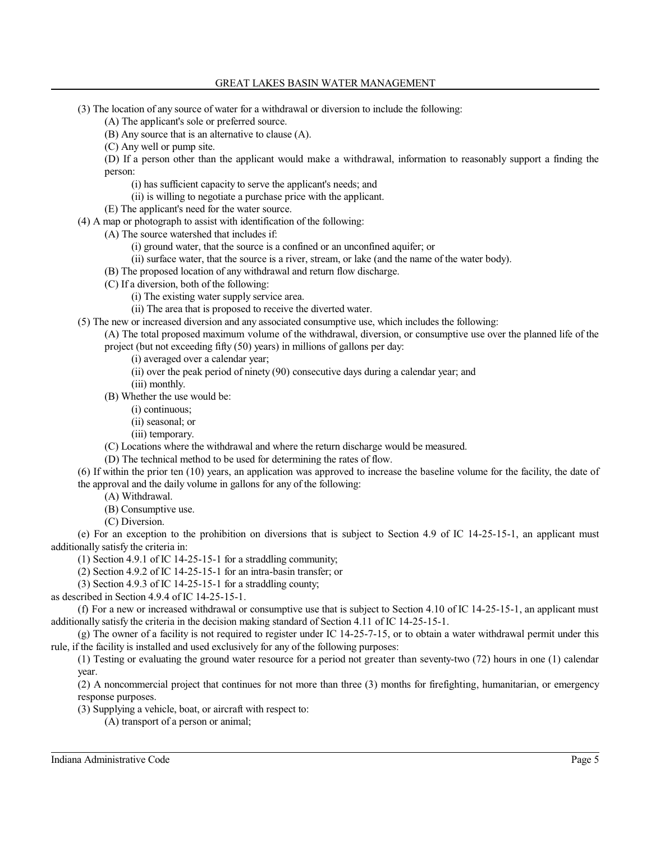- (3) The location of any source of water for a withdrawal or diversion to include the following:
	- (A) The applicant's sole or preferred source.
	- (B) Any source that is an alternative to clause (A).
	- (C) Any well or pump site.

(D) If a person other than the applicant would make a withdrawal, information to reasonably support a finding the person:

- (i) has sufficient capacity to serve the applicant's needs; and
- (ii) is willing to negotiate a purchase price with the applicant.
- (E) The applicant's need for the water source.
- (4) A map or photograph to assist with identification of the following:

(A) The source watershed that includes if:

- (i) ground water, that the source is a confined or an unconfined aquifer; or
- (ii) surface water, that the source is a river, stream, or lake (and the name of the water body).
- (B) The proposed location of any withdrawal and return flow discharge.
- (C) If a diversion, both of the following:
	- (i) The existing water supply service area.
	- (ii) The area that is proposed to receive the diverted water.
- (5) The new or increased diversion and any associated consumptive use, which includes the following:
	- (A) The total proposed maximum volume of the withdrawal, diversion, or consumptive use over the planned life of the project (but not exceeding fifty (50) years) in millions of gallons per day:
		- (i) averaged over a calendar year;
		- (ii) over the peak period of ninety (90) consecutive days during a calendar year; and
		- (iii) monthly.
		- (B) Whether the use would be:
			- (i) continuous;
			- (ii) seasonal; or
			- (iii) temporary.
		- (C) Locations where the withdrawal and where the return discharge would be measured.
		- (D) The technical method to be used for determining the rates of flow.
- (6) If within the prior ten (10) years, an application was approved to increase the baseline volume for the facility, the date of the approval and the daily volume in gallons for any of the following:
	- (A) Withdrawal.
	- (B) Consumptive use.
	- (C) Diversion.

(e) For an exception to the prohibition on diversions that is subject to Section 4.9 of IC 14-25-15-1, an applicant must additionally satisfy the criteria in:

- (1) Section 4.9.1 of IC 14-25-15-1 for a straddling community;
- (2) Section 4.9.2 of IC 14-25-15-1 for an intra-basin transfer; or
- (3) Section 4.9.3 of IC 14-25-15-1 for a straddling county;

as described in Section 4.9.4 of IC 14-25-15-1.

(f) For a new or increased withdrawal or consumptive use that is subject to Section 4.10 of IC 14-25-15-1, an applicant must additionally satisfy the criteria in the decision making standard of Section 4.11 of IC 14-25-15-1.

(g) The owner of a facility is not required to register under IC 14-25-7-15, or to obtain a water withdrawal permit under this rule, if the facility is installed and used exclusively for any of the following purposes:

(1) Testing or evaluating the ground water resource for a period not greater than seventy-two (72) hours in one (1) calendar year.

(2) A noncommercial project that continues for not more than three (3) months for firefighting, humanitarian, or emergency response purposes.

(3) Supplying a vehicle, boat, or aircraft with respect to:

(A) transport of a person or animal;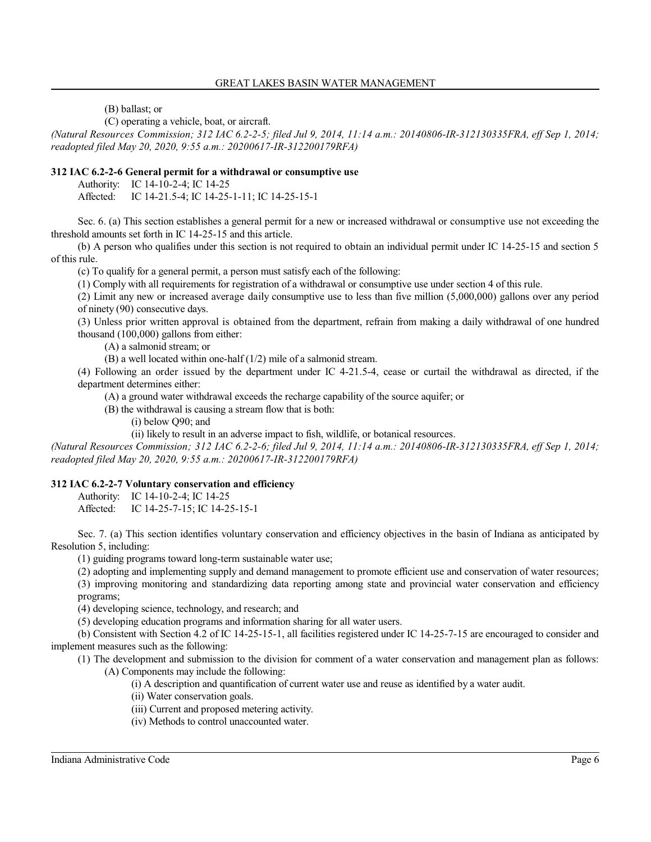(B) ballast; or

(C) operating a vehicle, boat, or aircraft.

*(Natural Resources Commission; 312 IAC 6.2-2-5; filed Jul 9, 2014, 11:14 a.m.: 20140806-IR-312130335FRA, eff Sep 1, 2014; readopted filed May 20, 2020, 9:55 a.m.: 20200617-IR-312200179RFA)*

# **312 IAC 6.2-2-6 General permit for a withdrawal or consumptive use**

Authority: IC 14-10-2-4; IC 14-25

Affected: IC 14-21.5-4; IC 14-25-1-11; IC 14-25-15-1

Sec. 6. (a) This section establishes a general permit for a new or increased withdrawal or consumptive use not exceeding the threshold amounts set forth in IC 14-25-15 and this article.

(b) A person who qualifies under this section is not required to obtain an individual permit under IC 14-25-15 and section 5 of this rule.

(c) To qualify for a general permit, a person must satisfy each of the following:

(1) Comply with all requirements for registration of a withdrawal or consumptive use under section 4 of this rule.

(2) Limit any new or increased average daily consumptive use to less than five million (5,000,000) gallons over any period of ninety (90) consecutive days.

(3) Unless prior written approval is obtained from the department, refrain from making a daily withdrawal of one hundred thousand (100,000) gallons from either:

(A) a salmonid stream; or

(B) a well located within one-half (1/2) mile of a salmonid stream.

(4) Following an order issued by the department under IC 4-21.5-4, cease or curtail the withdrawal as directed, if the department determines either:

(A) a ground water withdrawal exceeds the recharge capability of the source aquifer; or

(B) the withdrawal is causing a stream flow that is both:

(i) below Q90; and

(ii) likely to result in an adverse impact to fish, wildlife, or botanical resources.

*(Natural Resources Commission; 312 IAC 6.2-2-6; filed Jul 9, 2014, 11:14 a.m.: 20140806-IR-312130335FRA, eff Sep 1, 2014; readopted filed May 20, 2020, 9:55 a.m.: 20200617-IR-312200179RFA)*

## **312 IAC 6.2-2-7 Voluntary conservation and efficiency**

Authority: IC 14-10-2-4; IC 14-25

Affected: IC 14-25-7-15; IC 14-25-15-1

Sec. 7. (a) This section identifies voluntary conservation and efficiency objectives in the basin of Indiana as anticipated by Resolution 5, including:

(1) guiding programs toward long-term sustainable water use;

(2) adopting and implementing supply and demand management to promote efficient use and conservation of water resources;

(3) improving monitoring and standardizing data reporting among state and provincial water conservation and efficiency programs;

(4) developing science, technology, and research; and

(5) developing education programs and information sharing for all water users.

(b) Consistent with Section 4.2 of IC 14-25-15-1, all facilities registered under IC 14-25-7-15 are encouraged to consider and implement measures such as the following:

(1) The development and submission to the division for comment of a water conservation and management plan as follows: (A) Components may include the following:

(i) A description and quantification of current water use and reuse as identified by a water audit.

(ii) Water conservation goals.

(iii) Current and proposed metering activity.

(iv) Methods to control unaccounted water.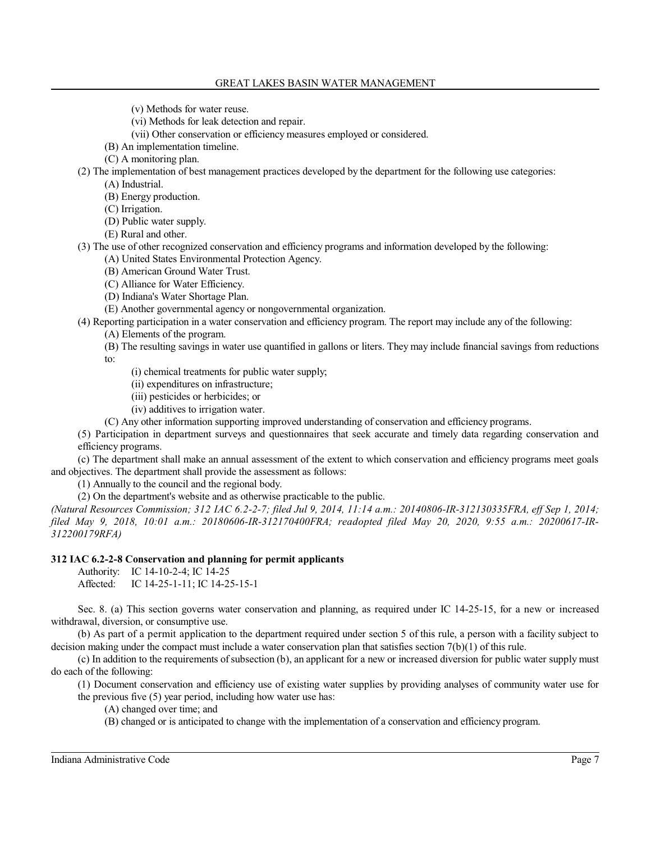- (v) Methods for water reuse.
- (vi) Methods for leak detection and repair.
- (vii) Other conservation or efficiency measures employed or considered.
- (B) An implementation timeline.
- (C) A monitoring plan.

(2) The implementation of best management practices developed by the department for the following use categories:

(A) Industrial.

- (B) Energy production.
- (C) Irrigation.
- (D) Public water supply.
- (E) Rural and other.
- (3) The use of other recognized conservation and efficiency programs and information developed by the following:
	- (A) United States Environmental Protection Agency.
	- (B) American Ground Water Trust.
	- (C) Alliance for Water Efficiency.
	- (D) Indiana's Water Shortage Plan.
	- (E) Another governmental agency or nongovernmental organization.

(4) Reporting participation in a water conservation and efficiency program. The report may include any of the following:

- (A) Elements of the program.
- (B) The resulting savings in water use quantified in gallons or liters. They may include financial savings from reductions to:
	- (i) chemical treatments for public water supply;
	- (ii) expenditures on infrastructure;
	- (iii) pesticides or herbicides; or
	- (iv) additives to irrigation water.
- (C) Any other information supporting improved understanding of conservation and efficiency programs.

(5) Participation in department surveys and questionnaires that seek accurate and timely data regarding conservation and efficiency programs.

(c) The department shall make an annual assessment of the extent to which conservation and efficiency programs meet goals and objectives. The department shall provide the assessment as follows:

(1) Annually to the council and the regional body.

(2) On the department's website and as otherwise practicable to the public.

*(Natural Resources Commission; 312 IAC 6.2-2-7; filed Jul 9, 2014, 11:14 a.m.: 20140806-IR-312130335FRA, eff Sep 1, 2014; filed May 9, 2018, 10:01 a.m.: 20180606-IR-312170400FRA; readopted filed May 20, 2020, 9:55 a.m.: 20200617-IR-312200179RFA)*

## **312 IAC 6.2-2-8 Conservation and planning for permit applicants**

Authority: IC 14-10-2-4; IC 14-25 Affected: IC 14-25-1-11; IC 14-25-15-1

Sec. 8. (a) This section governs water conservation and planning, as required under IC 14-25-15, for a new or increased withdrawal, diversion, or consumptive use.

(b) As part of a permit application to the department required under section 5 of this rule, a person with a facility subject to decision making under the compact must include a water conservation plan that satisfies section  $7(b)(1)$  of this rule.

(c) In addition to the requirements ofsubsection (b), an applicant for a new or increased diversion for public water supply must do each of the following:

(1) Document conservation and efficiency use of existing water supplies by providing analyses of community water use for the previous five (5) year period, including how water use has:

(A) changed over time; and

(B) changed or is anticipated to change with the implementation of a conservation and efficiency program.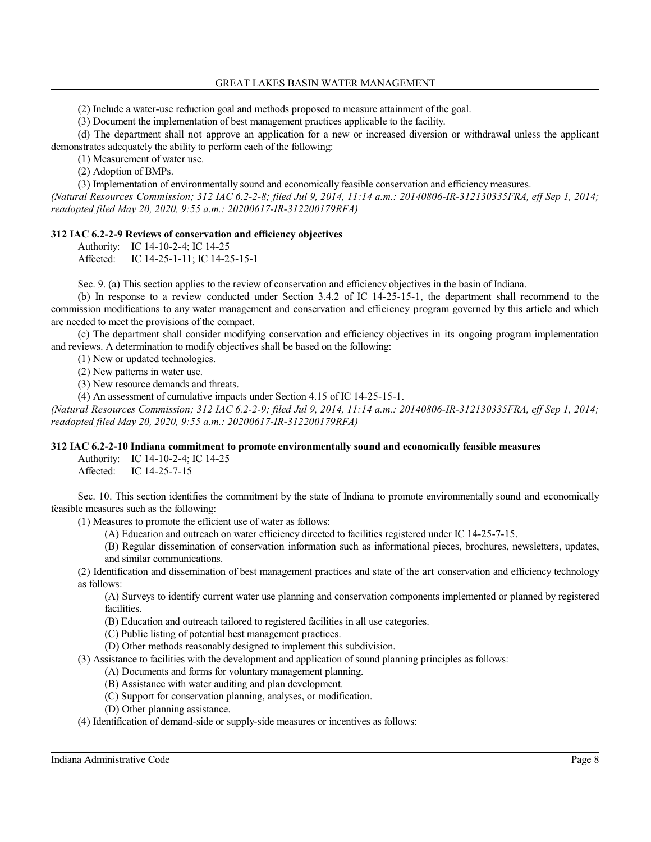#### GREAT LAKES BASIN WATER MANAGEMENT

(2) Include a water-use reduction goal and methods proposed to measure attainment of the goal.

(3) Document the implementation of best management practices applicable to the facility.

(d) The department shall not approve an application for a new or increased diversion or withdrawal unless the applicant demonstrates adequately the ability to perform each of the following:

(1) Measurement of water use.

(2) Adoption of BMPs.

(3) Implementation of environmentally sound and economically feasible conservation and efficiency measures. *(Natural Resources Commission; 312 IAC 6.2-2-8; filed Jul 9, 2014, 11:14 a.m.: 20140806-IR-312130335FRA, eff Sep 1, 2014; readopted filed May 20, 2020, 9:55 a.m.: 20200617-IR-312200179RFA)*

# **312 IAC 6.2-2-9 Reviews of conservation and efficiency objectives**

Authority: IC 14-10-2-4; IC 14-25 Affected: IC 14-25-1-11; IC 14-25-15-1

Sec. 9. (a) This section applies to the review of conservation and efficiency objectives in the basin of Indiana.

(b) In response to a review conducted under Section 3.4.2 of IC 14-25-15-1, the department shall recommend to the commission modifications to any water management and conservation and efficiency program governed by this article and which are needed to meet the provisions of the compact.

(c) The department shall consider modifying conservation and efficiency objectives in its ongoing program implementation and reviews. A determination to modify objectives shall be based on the following:

(1) New or updated technologies.

(2) New patterns in water use.

(3) New resource demands and threats.

(4) An assessment of cumulative impacts under Section 4.15 of IC 14-25-15-1.

*(Natural Resources Commission; 312 IAC 6.2-2-9; filed Jul 9, 2014, 11:14 a.m.: 20140806-IR-312130335FRA, eff Sep 1, 2014; readopted filed May 20, 2020, 9:55 a.m.: 20200617-IR-312200179RFA)*

## **312 IAC 6.2-2-10 Indiana commitment to promote environmentally sound and economically feasible measures**

Authority: IC 14-10-2-4; IC 14-25 Affected: IC 14-25-7-15

Sec. 10. This section identifies the commitment by the state of Indiana to promote environmentally sound and economically feasible measures such as the following:

(1) Measures to promote the efficient use of water as follows:

(A) Education and outreach on water efficiency directed to facilities registered under IC 14-25-7-15.

(B) Regular dissemination of conservation information such as informational pieces, brochures, newsletters, updates,

and similar communications.

(2) Identification and dissemination of best management practices and state of the art conservation and efficiency technology as follows:

(A) Surveys to identify current water use planning and conservation components implemented or planned by registered facilities.

- (B) Education and outreach tailored to registered facilities in all use categories.
- (C) Public listing of potential best management practices.
- (D) Other methods reasonably designed to implement this subdivision.

(3) Assistance to facilities with the development and application of sound planning principles as follows:

- (A) Documents and forms for voluntary management planning.
- (B) Assistance with water auditing and plan development.
- (C) Support for conservation planning, analyses, or modification.
- (D) Other planning assistance.

(4) Identification of demand-side or supply-side measures or incentives as follows: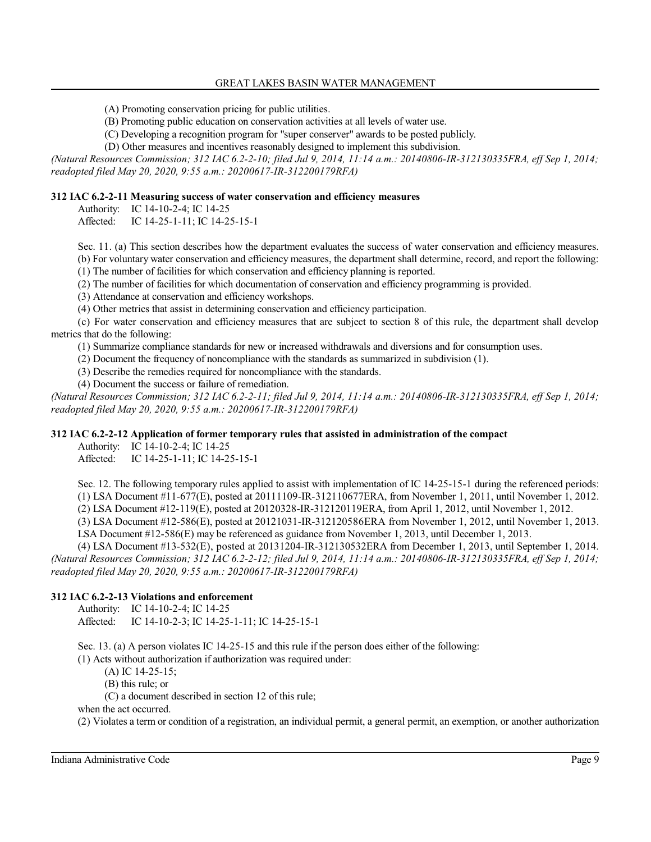- (A) Promoting conservation pricing for public utilities.
- (B) Promoting public education on conservation activities at all levels of water use.
- (C) Developing a recognition program for "super conserver" awards to be posted publicly.
- (D) Other measures and incentives reasonably designed to implement this subdivision.

*(Natural Resources Commission; 312 IAC 6.2-2-10; filed Jul 9, 2014, 11:14 a.m.: 20140806-IR-312130335FRA, eff Sep 1, 2014; readopted filed May 20, 2020, 9:55 a.m.: 20200617-IR-312200179RFA)*

## **312 IAC 6.2-2-11 Measuring success of water conservation and efficiency measures**

Authority: IC 14-10-2-4; IC 14-25

Affected: IC 14-25-1-11; IC 14-25-15-1

Sec. 11. (a) This section describes how the department evaluates the success of water conservation and efficiency measures. (b) For voluntary water conservation and efficiency measures, the department shall determine, record, and report the following:

(1) The number of facilities for which conservation and efficiency planning is reported.

(2) The number of facilities for which documentation of conservation and efficiency programming is provided.

(3) Attendance at conservation and efficiency workshops.

(4) Other metrics that assist in determining conservation and efficiency participation.

(c) For water conservation and efficiency measures that are subject to section 8 of this rule, the department shall develop metrics that do the following:

(1) Summarize compliance standards for new or increased withdrawals and diversions and for consumption uses.

(2) Document the frequency of noncompliance with the standards as summarized in subdivision (1).

(3) Describe the remedies required for noncompliance with the standards.

(4) Document the success or failure of remediation.

*(Natural Resources Commission; 312 IAC 6.2-2-11; filed Jul 9, 2014, 11:14 a.m.: 20140806-IR-312130335FRA, eff Sep 1, 2014; readopted filed May 20, 2020, 9:55 a.m.: 20200617-IR-312200179RFA)*

## **312 IAC 6.2-2-12 Application of former temporary rules that assisted in administration of the compact**

Authority: IC 14-10-2-4; IC 14-25

Affected: IC 14-25-1-11; IC 14-25-15-1

Sec. 12. The following temporary rules applied to assist with implementation of IC 14-25-15-1 during the referenced periods: (1) LSA Document #11-677(E), posted at 20111109-IR-312110677ERA, from November 1, 2011, until November 1, 2012.

(2) LSA Document #12-119(E), posted at 20120328-IR-312120119ERA, from April 1, 2012, until November 1, 2012.

(3) LSA Document #12-586(E), posted at 20121031-IR-312120586ERA from November 1, 2012, until November 1, 2013. LSA Document #12-586(E) may be referenced as guidance from November 1, 2013, until December 1, 2013.

(4) LSA Document #13-532(E), posted at 20131204-IR-312130532ERA from December 1, 2013, until September 1, 2014.

*(Natural Resources Commission; 312 IAC 6.2-2-12; filed Jul 9, 2014, 11:14 a.m.: 20140806-IR-312130335FRA, eff Sep 1, 2014; readopted filed May 20, 2020, 9:55 a.m.: 20200617-IR-312200179RFA)*

## **312 IAC 6.2-2-13 Violations and enforcement**

Authority: IC 14-10-2-4; IC 14-25

Affected: IC 14-10-2-3; IC 14-25-1-11; IC 14-25-15-1

Sec. 13. (a) A person violates IC 14-25-15 and this rule if the person does either of the following:

(1) Acts without authorization if authorization was required under:

(A) IC 14-25-15;

(B) this rule; or

(C) a document described in section 12 of this rule;

when the act occurred.

(2) Violates a term or condition of a registration, an individual permit, a general permit, an exemption, or another authorization